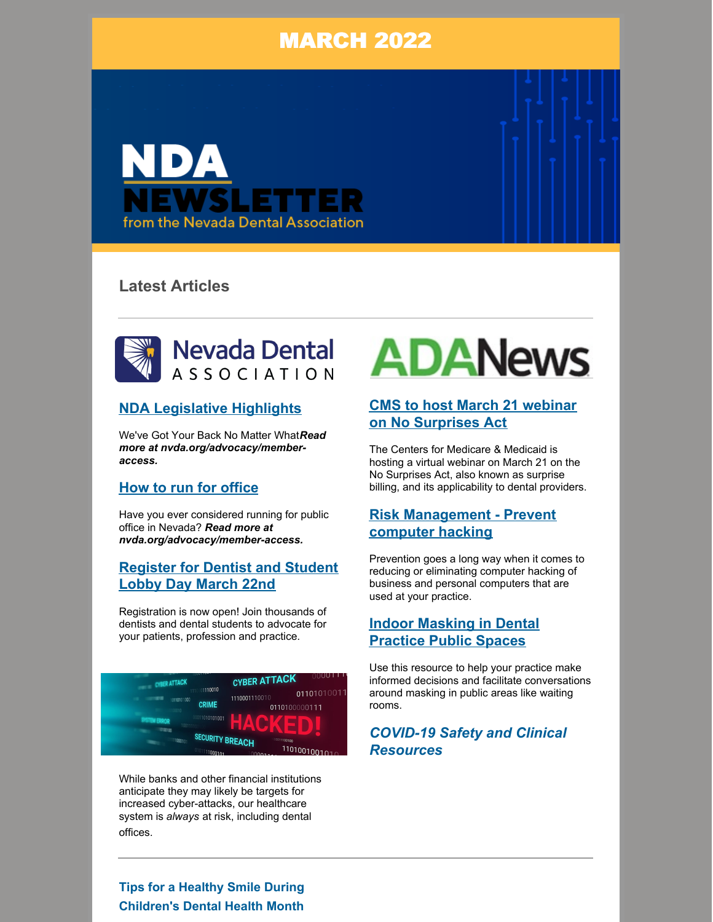# MARCH 2022



# **Latest Articles**



#### **NDA [Legislative](https://files.constantcontact.com/f948c60b701/733e9645-0083-4962-a774-263e4e5993e6.pdf?rdr=true) Highlights**

We've Got Your Back No Matter What*Read more at nvda.org/advocacy/memberaccess.*

#### **How to run for [office](https://www.nvda.org/advocacy/member)**

Have you ever considered running for public office in Nevada? *Read more at nvda.org/advocacy/member-access.*

#### **[Register](https://www.ada.org/advocacy/advocacy-dentist-and-student-lobby-day) for Dentist and Student Lobby Day March 22nd**

Registration is now open! Join thousands of dentists and dental students to advocate for your patients, profession and practice.



While banks and other financial institutions anticipate they may likely be targets for increased cyber-attacks, our healthcare system is *always* at risk, including dental offices.

# **ADANews**

## **CMS to host March 21 webinar on No [Surprises](https://www.ada.org/publications/ada-news/2022/march/cms-to-host-march-21-webinar-on-no-surprises-act) Act**

The Centers for Medicare & Medicaid is hosting a virtual webinar on March 21 on the No Surprises Act, also known as surprise billing, and its applicability to dental providers.

## **Risk [Management](https://www.ada.org/resources/practice/practice-management/tips-to-safeguard-your-practice-from-computer-hackers) - Prevent computer hacking**

Prevention goes a long way when it comes to reducing or eliminating computer hacking of business and personal computers that are used at your practice.

#### **Indoor [Masking](https://files.constantcontact.com/f948c60b701/3897027d-e25e-45e6-9f03-98154ee910b2.pdf?rdr=true) in Dental Practice Public Spaces**

Use this resource to help your practice make informed decisions and facilitate conversations around masking in public areas like waiting rooms.

# *COVID-19 Safety and Clinical [Resources](https://www.ada.org/resources/coronavirus/covid-19-practice-resources)*

#### **Tips for a Healthy Smile During Children's Dental Health Month**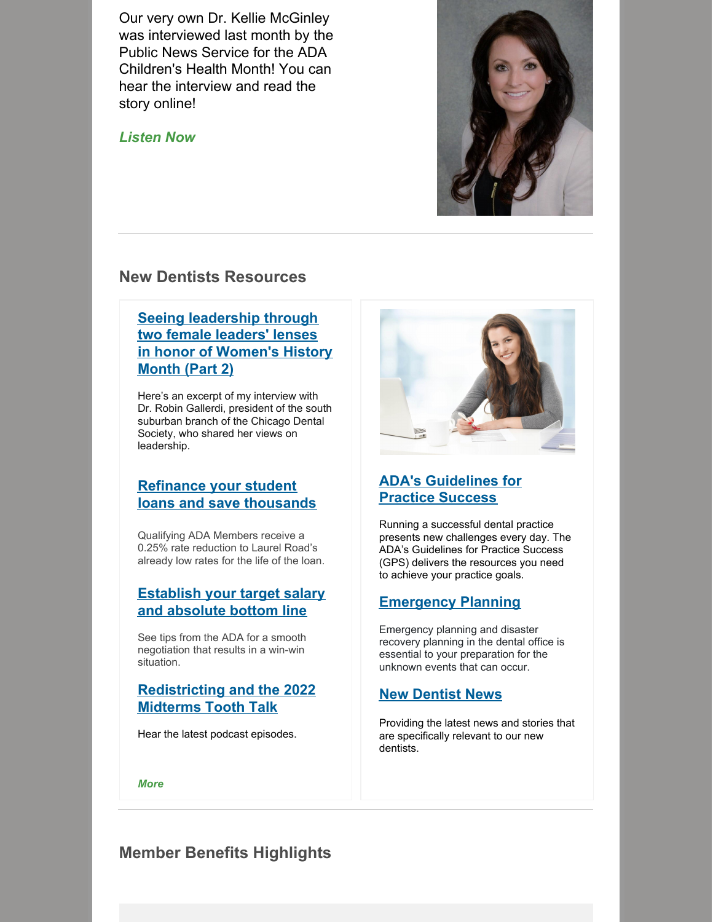Our very own Dr. Kellie McGinley was interviewed last month by the Public News Service for the ADA Children's Health Month! You can hear the interview and read the story online!

#### *[Listen](https://www.publicnewsservice.org/2022-02-22/health/tips-for-a-healthy-smile-during-childrens-dental-health-month/a77970-1) Now*



## **New Dentists Resources**

**Seeing [leadership](https://newdentistblog.ada.org/we-want-you-seeing-leadership-through-two-female-leaders-lenses-in-honor-of-womens-history-month-part-2/) through two female leaders' lenses in honor of Women's History Month (Part 2)**

Here's an excerpt of my interview with Dr. Robin Gallerdi, president of the south suburban branch of the Chicago Dental Society, who shared her views on leadership.

# **Refinance your student loans and save [thousands](https://www.adamemberadvantage.com/en/endorsed-programs/student-loan-refinancing)**

Qualifying ADA Members receive a 0.25% rate reduction to Laurel Road's already low rates for the life of the loan.

#### **[Establish](https://www.ada.org/-/media/project/ada-organization/ada/ada-org/files/publications/new-dentist-news/ndn_march2022_v4.pdf?rev=39dff205240a421ab5300674161b954c&hash=10C9E4AA93D2810D6E554F109DDD7308) your target salary and absolute bottom line**

See tips from the ADA for a smooth negotiation that results in a win-win situation.

#### **[Redistricting](https://toothtalkshow.com/) and the 2022 Midterms Tooth Talk**

Hear the latest podcast episodes.



# **ADA's [Guidelines](https://www.ada.org/publications/guidelines-for-practice-success) for Practice Success**

Running a successful dental practice presents new challenges every day. The ADA's Guidelines for Practice Success (GPS) delivers the resources you need to achieve your practice goals.

#### **[Emergency](https://www.ada.org/resources/practice/practice-management/emergency-planning-and-disaster-recovery-planning-in-the-dental-office) Planning**

Emergency planning and disaster recovery planning in the dental office is essential to your preparation for the unknown events that can occur.

#### **New [Dentist](https://www.ada.org/publications/new-dentist-news) News**

Providing the latest news and stories that are specifically relevant to our new dentists.

*[More](https://www.ada.org/publications/new-dentist-news/new-dentist-news-current-issue)*

# **Member Benefits Highlights**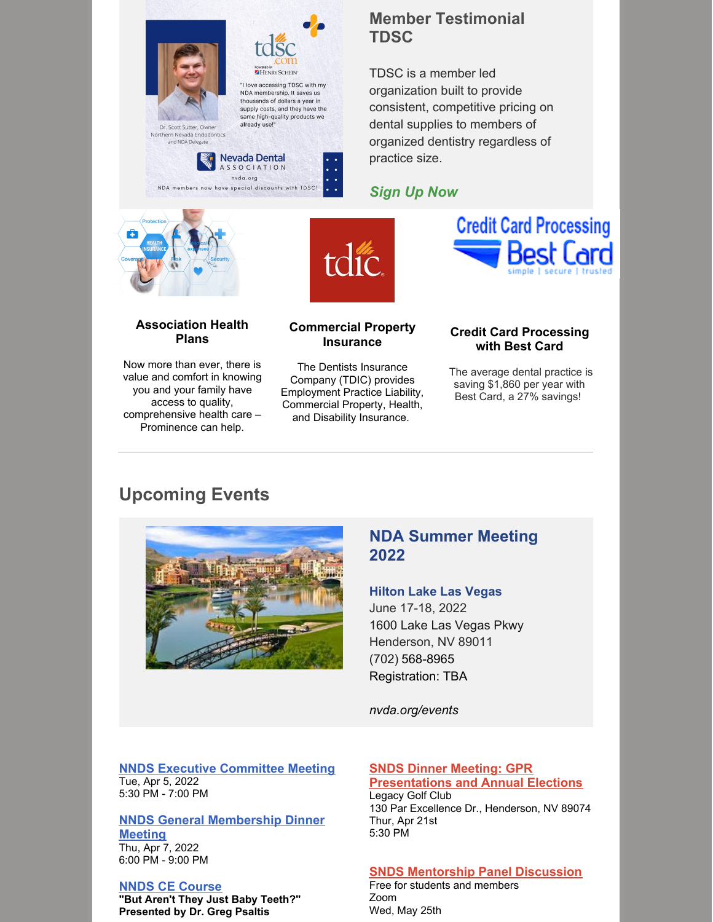

thousands of dollars a year in<br>supply costs, and they have the same high-quality products we already use! Dr. Scott Sutter, Owner Northern Nevada Endodontics



HENRY SCHEIN "I love accessing TDSC with my NDA membership. It saves us

# **Member Testimonial TDSC**

TDSC is a member led organization built to provide consistent, competitive pricing on dental supplies to members of organized dentistry regardless of practice size.

#### *[Sign](https://www.nvda.org/membership/affiliated-products) Up Now*



**Association Health Plans**

Now more than ever, there is value and comfort in knowing you and your family have access to quality, comprehensive health care – Prominence can help.



#### **Commercial Property Insurance**

The Dentists Insurance Company (TDIC) provides Employment Practice Liability, Commercial Property, Health, and Disability Insurance.

#### **Credit Card Processing with Best Card**

**Credit Card Processing** 

The average dental practice is saving \$1,860 per year with Best Card, a 27% savings!

# **Upcoming Events**



# **NDA Summer Meeting 2022**

#### **Hilton Lake Las Vegas**

June 17-18, 2022 1600 Lake Las Vegas Pkwy Henderson, NV 89011 [\(702\)](https://www.google.com/search?q=bears%27 best&rlz=1C1CHBF_enUS722US722&oq=bears%27+best&aqs=chrome..69i57.4925j0j7&sourceid=chrome&ie=UTF-8&tbs=lf:1,lf_ui:1&tbm=lcl&sxsrf=ALeKk02TFg5-dXkQBM-tuzcMKl4ACf9U6w:1628537098079&rflfq=1&num=10&rldimm=2530083513829961699&lqi=CgtiZWFycycgYmVzdEiYqJa95YCAgAhaFBAAEAEYABgBIgpiZWFycyBiZXN0kgELZ29sZl9jb3Vyc2WqARIQASoOIgpiZWFycyBiZXN0KAA&phdesc=dOcUnJ8j_ZE&ved=2ahUKEwjQ2e-51aTyAhVSQBoKHa8cDQ8QvS4wAXoECA4QOA&rlst=f#) 568-8965 Registration: TBA

*nvda.org/events*

#### **NNDS Executive [Committee](https://www.nndental.org/meetings-events) Meeting** Tue, Apr 5, 2022 5:30 PM - 7:00 PM

#### **NNDS General [Membership](https://www.nndental.org/meetings-events) Dinner**

**Meeting** Thu, Apr 7, 2022 6:00 PM - 9:00 PM

#### **NNDS CE [Course](https://www.nndental.org/meetings-events/2022/04/08/default-calendar/ce-course)**

**"But Aren't They Just Baby Teeth?" Presented by Dr. Greg Psaltis**

#### **SNDS Dinner Meeting: GPR [Presentations](https://snds.ticketspice.com/april-dinner-meeting) and Annual Elections**

Legacy Golf Club 130 Par Excellence Dr., Henderson, NV 89074 Thur, Apr 21st 5:30 PM

#### **SNDS [Mentorship](https://www.sndsonline.org/snds-calendar) Panel Discussion**

Free for students and members Zoom Wed, May 25th